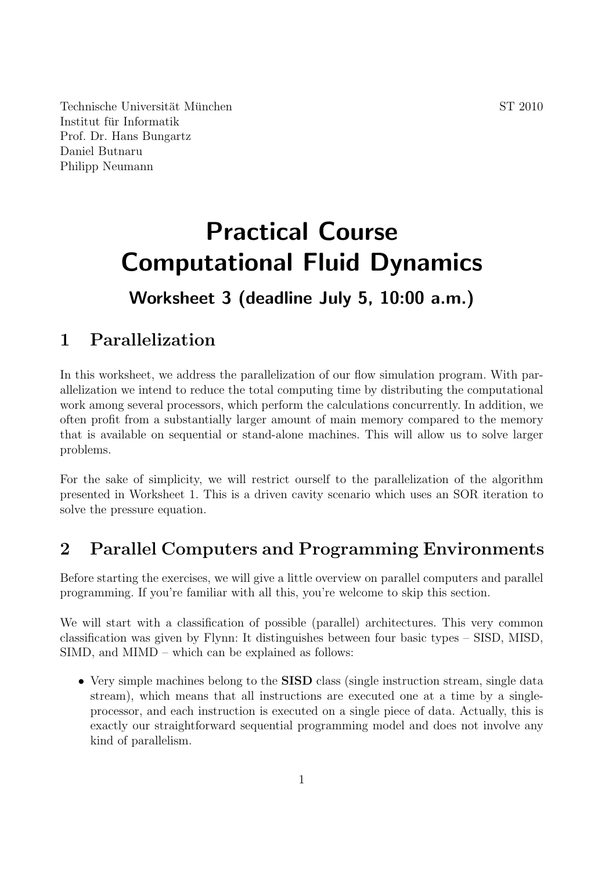Technische Universität München  $ST\ 2010$ Institut für Informatik Prof. Dr. Hans Bungartz Daniel Butnaru Philipp Neumann

# **Practical Course Computational Fluid Dynamics**

## **Worksheet 3 (deadline July 5, 10:00 a.m.)**

## **1 Parallelization**

In this worksheet, we address the parallelization of our flow simulation program. With parallelization we intend to reduce the total computing time by distributing the computational work among several processors, which perform the calculations concurrently. In addition, we often profit from a substantially larger amount of main memory compared to the memory that is available on sequential or stand-alone machines. This will allow us to solve larger problems.

For the sake of simplicity, we will restrict ourself to the parallelization of the algorithm presented in Worksheet 1. This is a driven cavity scenario which uses an SOR iteration to solve the pressure equation.

### **2 Parallel Computers and Programming Environments**

Before starting the exercises, we will give a little overview on parallel computers and parallel programming. If you're familiar with all this, you're welcome to skip this section.

We will start with a classification of possible (parallel) architectures. This very common classification was given by Flynn: It distinguishes between four basic types – SISD, MISD, SIMD, and MIMD – which can be explained as follows:

*•* Very simple machines belong to the **SISD** class (single instruction stream, single data stream), which means that all instructions are executed one at a time by a singleprocessor, and each instruction is executed on a single piece of data. Actually, this is exactly our straightforward sequential programming model and does not involve any kind of parallelism.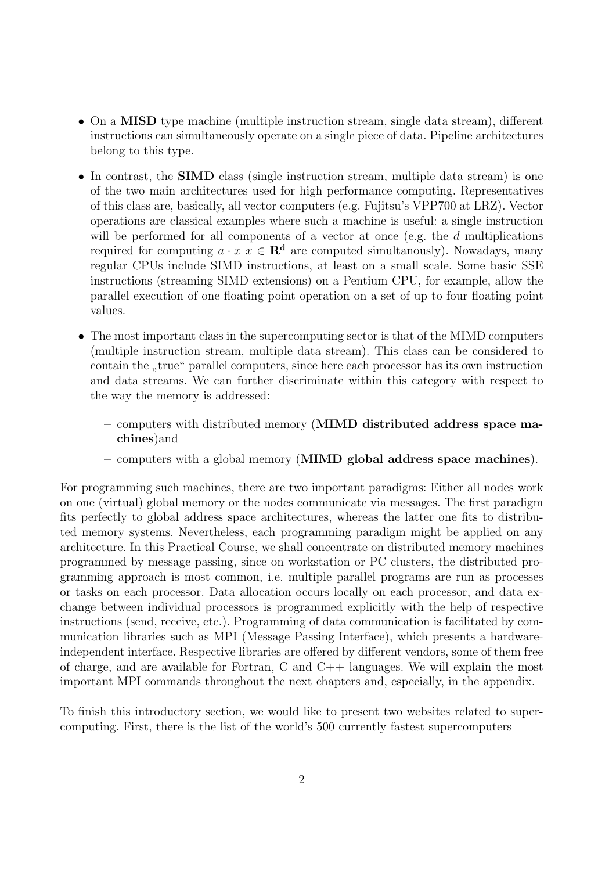- On a **MISD** type machine (multiple instruction stream, single data stream), different instructions can simultaneously operate on a single piece of data. Pipeline architectures belong to this type.
- In contrast, the **SIMD** class (single instruction stream, multiple data stream) is one of the two main architectures used for high performance computing. Representatives of this class are, basically, all vector computers (e.g. Fujitsu's VPP700 at LRZ). Vector operations are classical examples where such a machine is useful: a single instruction will be performed for all components of a vector at once (e.g. the *d* multiplications required for computing  $a \cdot x \in \mathbb{R}^d$  are computed simultanously). Nowadays, many regular CPUs include SIMD instructions, at least on a small scale. Some basic SSE instructions (streaming SIMD extensions) on a Pentium CPU, for example, allow the parallel execution of one floating point operation on a set of up to four floating point values.
- The most important class in the supercomputing sector is that of the MIMD computers (multiple instruction stream, multiple data stream). This class can be considered to contain the "true" parallel computers, since here each processor has its own instruction<br>and data streams. We see further discussion to within this extreme with new set to and data streams. We can further discriminate within this category with respect to the way the memory is addressed:
	- **–** computers with distributed memory (**MIMD distributed address space machines**)and
	- **–** computers with a global memory (**MIMD global address space machines**).

For programming such machines, there are two important paradigms: Either all nodes work on one (virtual) global memory or the nodes communicate via messages. The first paradigm fits perfectly to global address space architectures, whereas the latter one fits to distributed memory systems. Nevertheless, each programming paradigm might be applied on any architecture. In this Practical Course, we shall concentrate on distributed memory machines programmed by message passing, since on workstation or PC clusters, the distributed programming approach is most common, i.e. multiple parallel programs are run as processes or tasks on each processor. Data allocation occurs locally on each processor, and data exchange between individual processors is programmed explicitly with the help of respective instructions (send, receive, etc.). Programming of data communication is facilitated by communication libraries such as MPI (Message Passing Interface), which presents a hardwareindependent interface. Respective libraries are offered by different vendors, some of them free of charge, and are available for Fortran, C and C++ languages. We will explain the most important MPI commands throughout the next chapters and, especially, in the appendix.

To finish this introductory section, we would like to present two websites related to supercomputing. First, there is the list of the world's 500 currently fastest supercomputers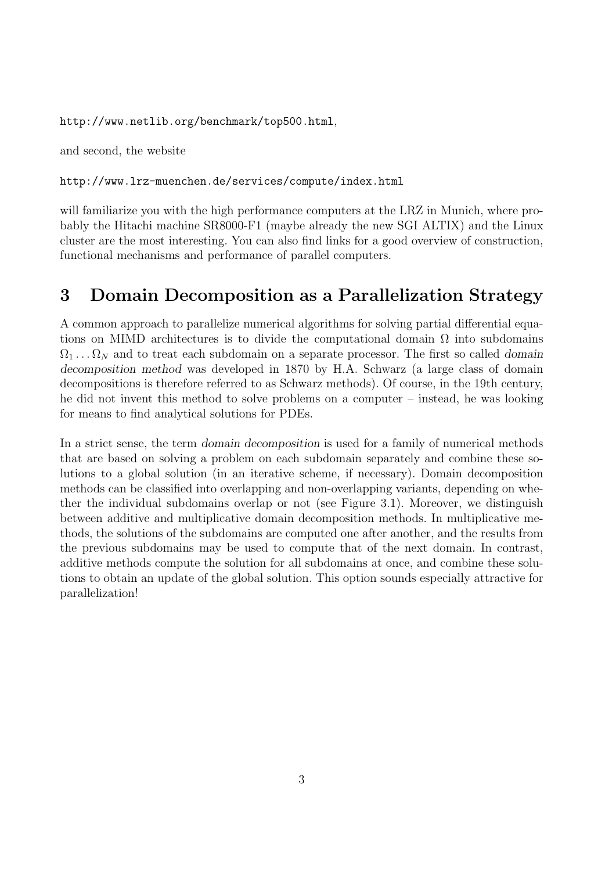http://www.netlib.org/benchmark/top500.html,

and second, the website

#### http://www.lrz-muenchen.de/services/compute/index.html

will familiarize you with the high performance computers at the LRZ in Munich, where probably the Hitachi machine SR8000-F1 (maybe already the new SGI ALTIX) and the Linux cluster are the most interesting. You can also find links for a good overview of construction, functional mechanisms and performance of parallel computers.

### **3 Domain Decomposition as a Parallelization Strategy**

A common approach to parallelize numerical algorithms for solving partial differential equations on MIMD architectures is to divide the computational domain  $\Omega$  into subdomains  $\Omega_1 \ldots \Omega_N$  and to treat each subdomain on a separate processor. The first so called *domain decomposition method* was developed in 1870 by H.A. Schwarz (a large class of domain decompositions is therefore referred to as Schwarz methods). Of course, in the 19th century, he did not invent this method to solve problems on a computer – instead, he was looking for means to find analytical solutions for PDEs.

In a strict sense, the term *domain decomposition* is used for a family of numerical methods that are based on solving a problem on each subdomain separately and combine these solutions to a global solution (in an iterative scheme, if necessary). Domain decomposition methods can be classified into overlapping and non-overlapping variants, depending on whether the individual subdomains overlap or not (see Figure 3.1). Moreover, we distinguish between additive and multiplicative domain decomposition methods. In multiplicative methods, the solutions of the subdomains are computed one after another, and the results from the previous subdomains may be used to compute that of the next domain. In contrast, additive methods compute the solution for all subdomains at once, and combine these solutions to obtain an update of the global solution. This option sounds especially attractive for parallelization!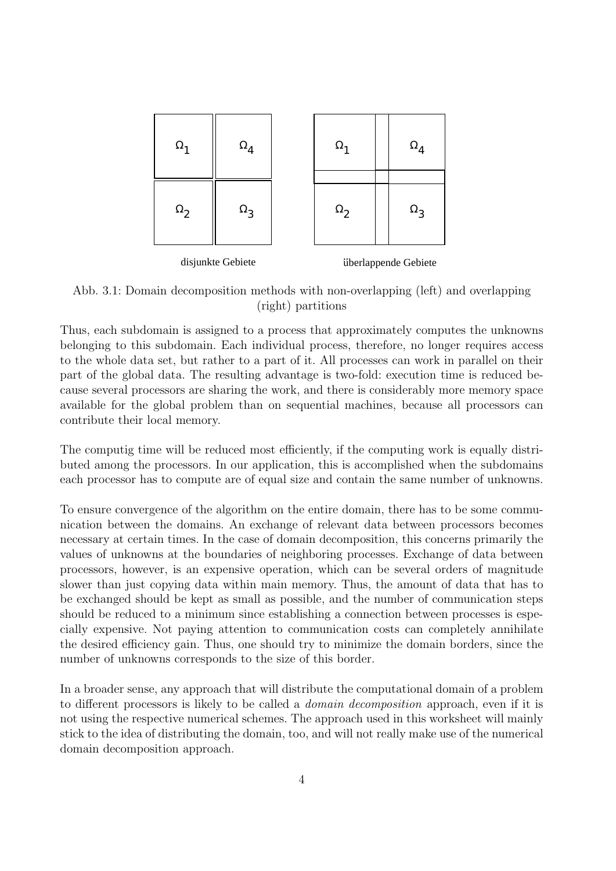

Abb. 3.1: Domain decomposition methods with non-overlapping (left) and overlapping (right) partitions

Thus, each subdomain is assigned to a process that approximately computes the unknowns belonging to this subdomain. Each individual process, therefore, no longer requires access to the whole data set, but rather to a part of it. All processes can work in parallel on their part of the global data. The resulting advantage is two-fold: execution time is reduced because several processors are sharing the work, and there is considerably more memory space available for the global problem than on sequential machines, because all processors can contribute their local memory.

The computig time will be reduced most efficiently, if the computing work is equally distributed among the processors. In our application, this is accomplished when the subdomains each processor has to compute are of equal size and contain the same number of unknowns.

To ensure convergence of the algorithm on the entire domain, there has to be some communication between the domains. An exchange of relevant data between processors becomes necessary at certain times. In the case of domain decomposition, this concerns primarily the values of unknowns at the boundaries of neighboring processes. Exchange of data between processors, however, is an expensive operation, which can be several orders of magnitude slower than just copying data within main memory. Thus, the amount of data that has to be exchanged should be kept as small as possible, and the number of communication steps should be reduced to a minimum since establishing a connection between processes is especially expensive. Not paying attention to communication costs can completely annihilate the desired efficiency gain. Thus, one should try to minimize the domain borders, since the number of unknowns corresponds to the size of this border.

In a broader sense, any approach that will distribute the computational domain of a problem to different processors is likely to be called a *domain decomposition* approach, even if it is not using the respective numerical schemes. The approach used in this worksheet will mainly stick to the idea of distributing the domain, too, and will not really make use of the numerical domain decomposition approach.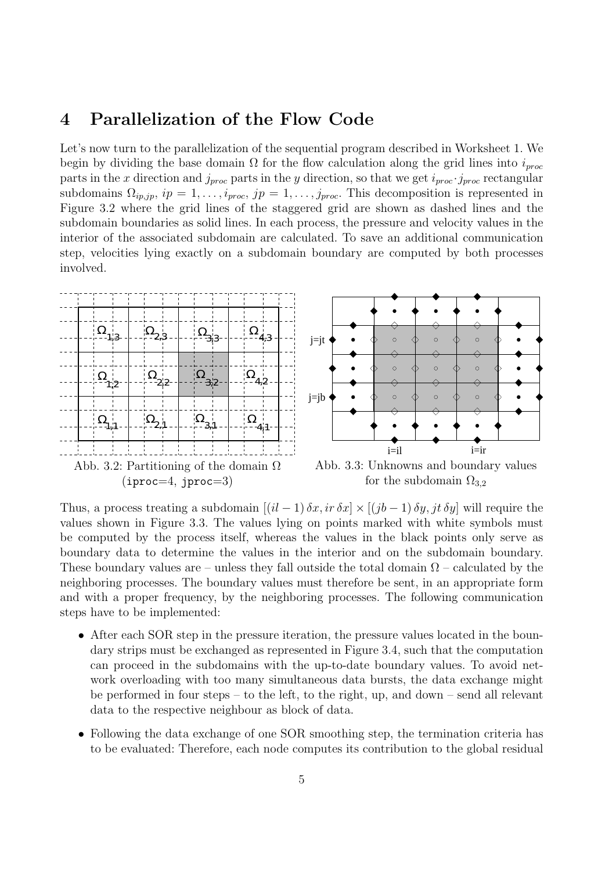#### **4 Parallelization of the Flow Code**

Let's now turn to the parallelization of the sequential program described in Worksheet 1. We begin by dividing the base domain  $\Omega$  for the flow calculation along the grid lines into  $i_{proc}$ parts in the *x* direction and  $j_{proc}$  parts in the *y* direction, so that we get  $i_{proc} \cdot j_{proc}$  rectangular subdomains  $\Omega_{ip,jp}, i p = 1, \ldots, i_{proc}, j p = 1, \ldots, j_{proc}$ . This decomposition is represented in Figure 3.2 where the grid lines of the staggered grid are shown as dashed lines and the subdomain boundaries as solid lines. In each process, the pressure and velocity values in the interior of the associated subdomain are calculated. To save an additional communication step, velocities lying exactly on a subdomain boundary are computed by both processes involved.



Thus, a process treating a subdomain  $[(il - 1)\delta x, ir \delta x] \times [(jb - 1)\delta y, jt \delta y]$  will require the values shown in Figure 3.3. The values lying on points marked with white symbols must be computed by the process itself, whereas the values in the black points only serve as boundary data to determine the values in the interior and on the subdomain boundary. These boundary values are – unless they fall outside the total domain  $\Omega$  – calculated by the neighboring processes. The boundary values must therefore be sent, in an appropriate form and with a proper frequency, by the neighboring processes. The following communication steps have to be implemented:

- After each SOR step in the pressure iteration, the pressure values located in the boundary strips must be exchanged as represented in Figure 3.4, such that the computation can proceed in the subdomains with the up-to-date boundary values. To avoid network overloading with too many simultaneous data bursts, the data exchange might be performed in four steps – to the left, to the right, up, and down – send all relevant data to the respective neighbour as block of data.
- Following the data exchange of one SOR smoothing step, the termination criteria has to be evaluated: Therefore, each node computes its contribution to the global residual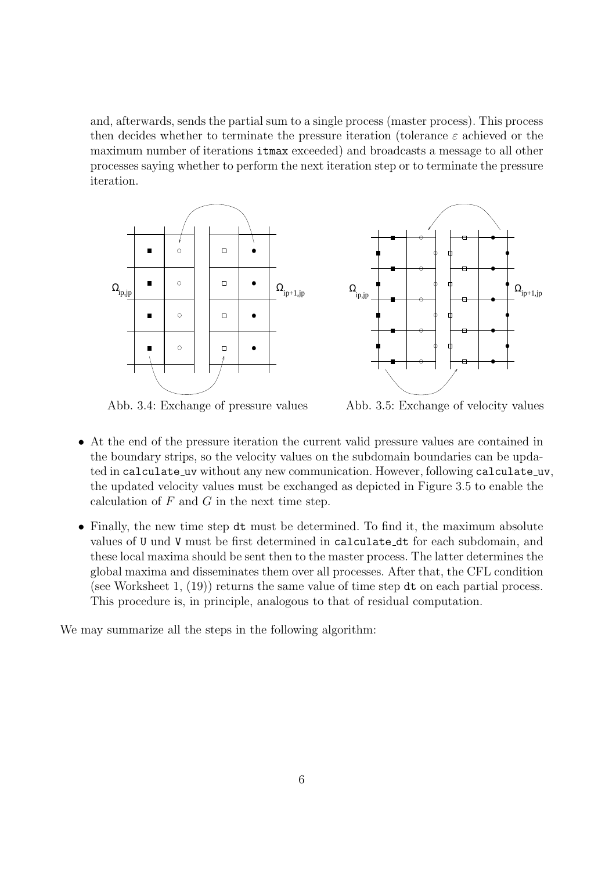and, afterwards, sends the partial sum to a single process (master process). This process then decides whether to terminate the pressure iteration (tolerance *ε* achieved or the maximum number of iterations itmax exceeded) and broadcasts a message to all other processes saying whether to perform the next iteration step or to terminate the pressure iteration.



Abb. 3.4: Exchange of pressure values



Abb. 3.5: Exchange of velocity values

- At the end of the pressure iteration the current valid pressure values are contained in the boundary strips, so the velocity values on the subdomain boundaries can be updated in calculate uv without any new communication. However, following calculate uv, the updated velocity values must be exchanged as depicted in Figure 3.5 to enable the calculation of *F* and *G* in the next time step.
- Finally, the new time step dt must be determined. To find it, the maximum absolute values of U und V must be first determined in calculate dt for each subdomain, and these local maxima should be sent then to the master process. The latter determines the global maxima and disseminates them over all processes. After that, the CFL condition (see Worksheet 1, (19)) returns the same value of time step dt on each partial process. This procedure is, in principle, analogous to that of residual computation.

We may summarize all the steps in the following algorithm: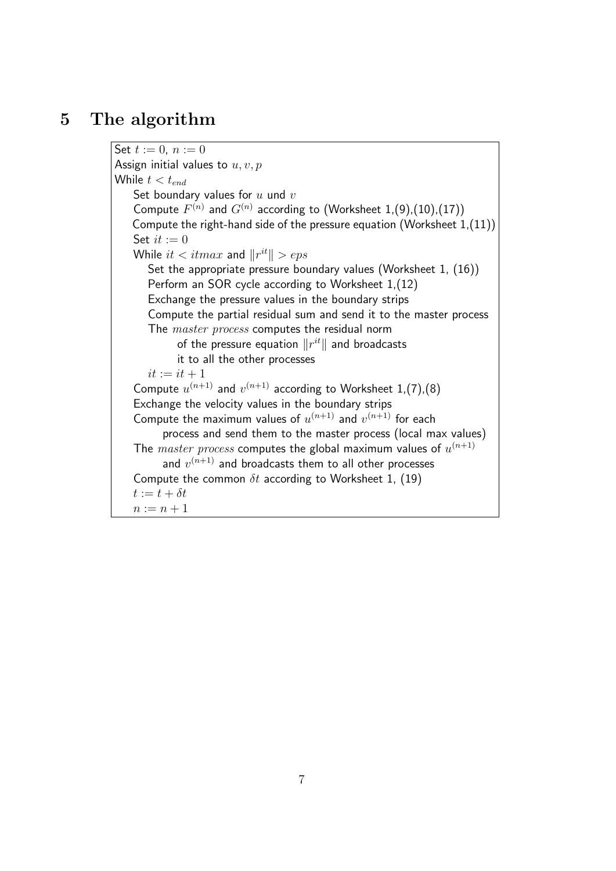#### **5 The algorithm**

Set  $t := 0, n := 0$ Assign initial values to *u, v, p* While  $t < t_{end}$ Set boundary values for *u* und *v* Compute  $F^{(n)}$  and  $G^{(n)}$  according to (Worksheet 1,(9),(10),(17)) Compute the right-hand side of the pressure equation (Worksheet 1,(11)) Set  $it := 0$ While  $it < itmax$  and  $||r^{it}|| > eps$ Set the appropriate pressure boundary values (Worksheet 1, (16)) Perform an SOR cycle according to Worksheet 1,(12) Exchange the pressure values in the boundary strips Compute the partial residual sum and send it to the master process The *master process* computes the residual norm of the pressure equation  $\|r^{it}\|$  and broadcasts it to all the other processes  $it := it + 1$ Compute  $u^{(n+1)}$  and  $v^{(n+1)}$  according to Worksheet 1,(7),(8) Exchange the velocity values in the boundary strips Compute the maximum values of  $u^{(n+1)}$  and  $v^{(n+1)}$  for each process and send them to the master process (local max values) The  $master$   $process$  computes the global maximum values of  $u^{(n+1)}$ and  $v^{(n+1)}$  and broadcasts them to all other processes Compute the common *δt* according to Worksheet 1, (19)  $t := t + \delta t$  $n := n + 1$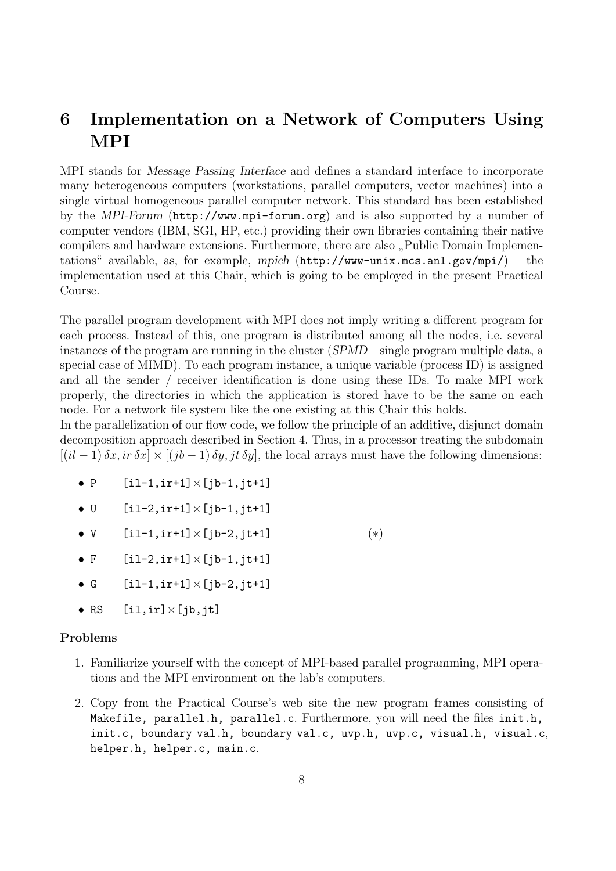## **6 Implementation on a Network of Computers Using MPI**

MPI stands for *Message Passing Interface* and defines a standard interface to incorporate many heterogeneous computers (workstations, parallel computers, vector machines) into a single virtual homogeneous parallel computer network. This standard has been established by the *MPI-Forum* (http://www.mpi-forum.org) and is also supported by a number of computer vendors (IBM, SGI, HP, etc.) providing their own libraries containing their native compilers and hardware extensions. Furthermore, there are also "Public Domain Implementations" available, as, for example, *mpich* (http://www-unix.mcs.anl.gov/mpi/) – the implementation used at this Chair, which is going to be employed in the present Practical Course.

The parallel program development with MPI does not imply writing a different program for each process. Instead of this, one program is distributed among all the nodes, i.e. several instances of the program are running in the cluster (*SPMD* – single program multiple data, a special case of MIMD). To each program instance, a unique variable (process ID) is assigned and all the sender / receiver identification is done using these IDs. To make MPI work properly, the directories in which the application is stored have to be the same on each node. For a network file system like the one existing at this Chair this holds.

In the parallelization of our flow code, we follow the principle of an additive, disjunct domain decomposition approach described in Section 4. Thus, in a processor treating the subdomain  $[(i\ell - 1)\delta x, i\tau \delta x] \times [(j\ell - 1)\delta y, j\tau \delta y]$ , the local arrays must have the following dimensions:

- *•* P [il-1,ir+1]*×*[jb-1,jt+1]
- *•* U [il-2,ir+1]*×*[jb-1,jt+1]
- *•* V [il-1,ir+1]*×*[jb-2,jt+1] (*∗*)
- *•* F [il-2,ir+1]*×*[jb-1,jt+1]
- *•* G [il-1,ir+1]*×*[jb-2,jt+1]
- *•* RS [il,ir]*×*[jb,jt]

#### **Problems**

- 1. Familiarize yourself with the concept of MPI-based parallel programming, MPI operations and the MPI environment on the lab's computers.
- 2. Copy from the Practical Course's web site the new program frames consisting of Makefile, parallel.h, parallel.c. Furthermore, you will need the files init.h, init.c, boundary val.h, boundary val.c, uvp.h, uvp.c, visual.h, visual.c, helper.h, helper.c, main.c.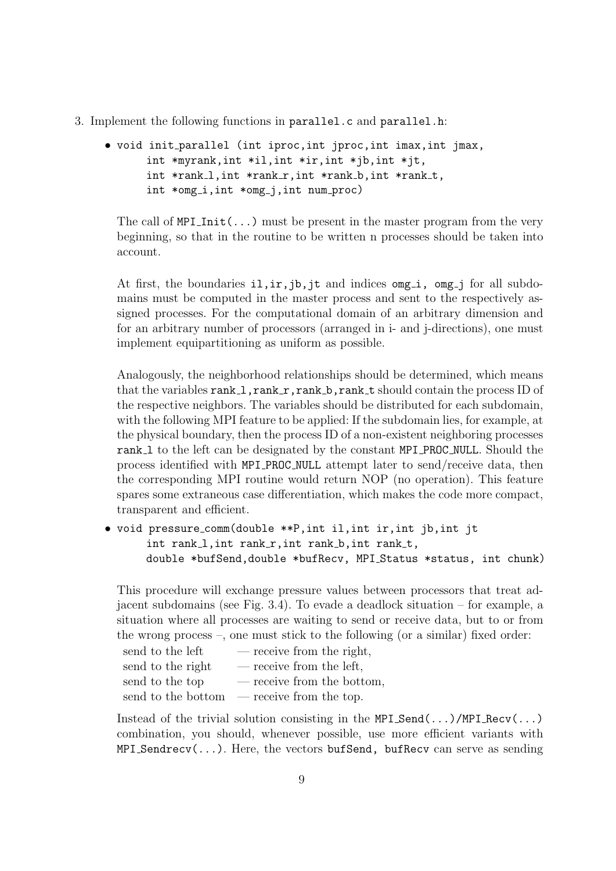- 3. Implement the following functions in parallel.c and parallel.h:
	- *•* void init parallel (int iproc,int jproc,int imax,int jmax, int \*myrank,int \*il,int \*ir,int \*jb,int \*jt, int \*rank\_1, int \*rank\_r, int \*rank\_b, int \*rank\_t, int \*omg i,int \*omg j,int num proc)

The call of  $MPI\_Init(...)$  must be present in the master program from the very beginning, so that in the routine to be written n processes should be taken into account.

At first, the boundaries  $i, i, j, j$ , it and indices omg i, omg j for all subdomains must be computed in the master process and sent to the respectively assigned processes. For the computational domain of an arbitrary dimension and for an arbitrary number of processors (arranged in i- and j-directions), one must implement equipartitioning as uniform as possible.

Analogously, the neighborhood relationships should be determined, which means that the variables  $rank_1,rank_r,rank_b,rank_t$  should contain the process ID of the respective neighbors. The variables should be distributed for each subdomain, with the following MPI feature to be applied: If the subdomain lies, for example, at the physical boundary, then the process ID of a non-existent neighboring processes rank l to the left can be designated by the constant MPI PROC NULL. Should the process identified with MPI PROC NULL attempt later to send/receive data, then the corresponding MPI routine would return NOP (no operation). This feature spares some extraneous case differentiation, which makes the code more compact, transparent and efficient.

*•* void pressure comm(double \*\*P,int il,int ir,int jb,int jt int rank\_1, int rank\_r, int rank\_b, int rank\_t, double \*bufSend,double \*bufRecv, MPI Status \*status, int chunk)

This procedure will exchange pressure values between processors that treat adjacent subdomains (see Fig. 3.4). To evade a deadlock situation – for example, a situation where all processes are waiting to send or receive data, but to or from the wrong process –, one must stick to the following (or a similar) fixed order:

| send to the left   | — receive from the right,  |
|--------------------|----------------------------|
| send to the right  | — receive from the left.   |
| send to the top    | — receive from the bottom, |
| send to the bottom | — receive from the top.    |

Instead of the trivial solution consisting in the  $MPI\_Send(...)/MPI\_Recv(...)$ combination, you should, whenever possible, use more efficient variants with  $MPI\_Sender$  $(v, ...)$ . Here, the vectors bufSend, bufRecv can serve as sending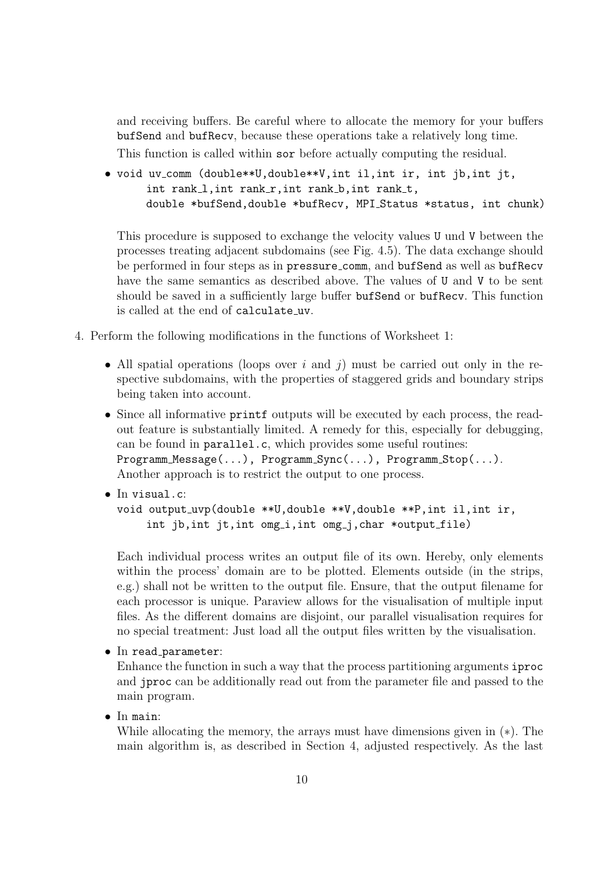and receiving buffers. Be careful where to allocate the memory for your buffers bufSend and bufRecv, because these operations take a relatively long time.

This function is called within sor before actually computing the residual.

• void uv\_comm (double\*\*U,double\*\*V,int il,int ir, int jb,int jt, int rank\_1, int rank\_r, int rank\_b, int rank\_t, double \*bufSend,double \*bufRecv, MPI Status \*status, int chunk)

This procedure is supposed to exchange the velocity values U und V between the processes treating adjacent subdomains (see Fig. 4.5). The data exchange should be performed in four steps as in pressure comm, and bufSend as well as bufRecv have the same semantics as described above. The values of U and V to be sent should be saved in a sufficiently large buffer bufSend or bufRecv. This function is called at the end of calculate uv.

- 4. Perform the following modifications in the functions of Worksheet 1:
	- *•* All spatial operations (loops over *i* and *j*) must be carried out only in the respective subdomains, with the properties of staggered grids and boundary strips being taken into account.
	- Since all informative **printf** outputs will be executed by each process, the readout feature is substantially limited. A remedy for this, especially for debugging, can be found in parallel.c, which provides some useful routines: Programm Message(...), Programm Sync(...), Programm Stop(...). Another approach is to restrict the output to one process.
	- *•* In visual.c: void output uvp(double \*\*U,double \*\*V,double \*\*P,int il,int ir, int  $jb, int$   $jt, int$   $omg_i, int$   $omg_i, char$   $*output_file)$

Each individual process writes an output file of its own. Hereby, only elements within the process' domain are to be plotted. Elements outside (in the strips, e.g.) shall not be written to the output file. Ensure, that the output filename for each processor is unique. Paraview allows for the visualisation of multiple input files. As the different domains are disjoint, our parallel visualisation requires for no special treatment: Just load all the output files written by the visualisation.

• In read\_parameter:

Enhance the function in such a way that the process partitioning arguments iproc and jproc can be additionally read out from the parameter file and passed to the main program.

*•* In main:

While allocating the memory, the arrays must have dimensions given in (*∗*). The main algorithm is, as described in Section 4, adjusted respectively. As the last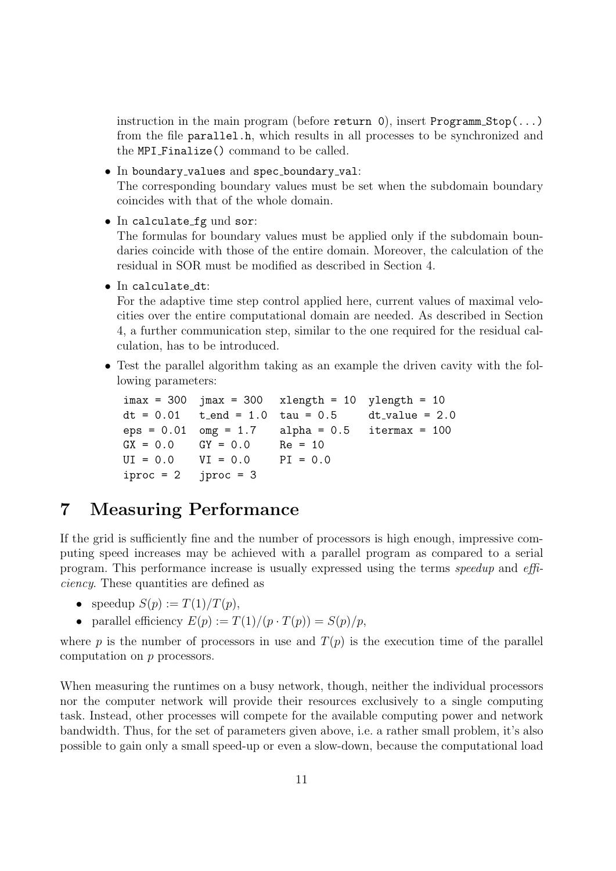instruction in the main program (before return 0), insert Programm Stop $(\ldots)$ from the file parallel.h, which results in all processes to be synchronized and the MPI Finalize() command to be called.

- In boundary\_values and spec\_boundary\_val: The corresponding boundary values must be set when the subdomain boundary coincides with that of the whole domain.
- In calculate\_fg und sor:

The formulas for boundary values must be applied only if the subdomain boundaries coincide with those of the entire domain. Moreover, the calculation of the residual in SOR must be modified as described in Section 4.

• In calculate\_dt:

For the adaptive time step control applied here, current values of maximal velocities over the entire computational domain are needed. As described in Section 4, a further communication step, similar to the one required for the residual calculation, has to be introduced.

• Test the parallel algorithm taking as an example the driven cavity with the following parameters:

```
imax = 300 jmax = 300 xlength = 10 ylength = 10dt = 0.01 t_end = 1.0 tau = 0.5 dt_value = 2.0
eps = 0.01 omega = 1.7 alpha = 0.5 itermax = 100
GX = 0.0 GY = 0.0 Re = 10UI = 0.0 VI = 0.0 PI = 0.0iproc = 2 jproc = 3
```
#### **7 Measuring Performance**

If the grid is sufficiently fine and the number of processors is high enough, impressive computing speed increases may be achieved with a parallel program as compared to a serial program. This performance increase is usually expressed using the terms *speedup* and *efficiency*. These quantities are defined as

- speedup  $S(p) := T(1)/T(p)$ ,
- parallel efficiency  $E(p) := T(1)/(p \cdot T(p)) = S(p)/p$ ,

where *p* is the number of processors in use and  $T(p)$  is the execution time of the parallel computation on *p* processors.

When measuring the runtimes on a busy network, though, neither the individual processors nor the computer network will provide their resources exclusively to a single computing task. Instead, other processes will compete for the available computing power and network bandwidth. Thus, for the set of parameters given above, i.e. a rather small problem, it's also possible to gain only a small speed-up or even a slow-down, because the computational load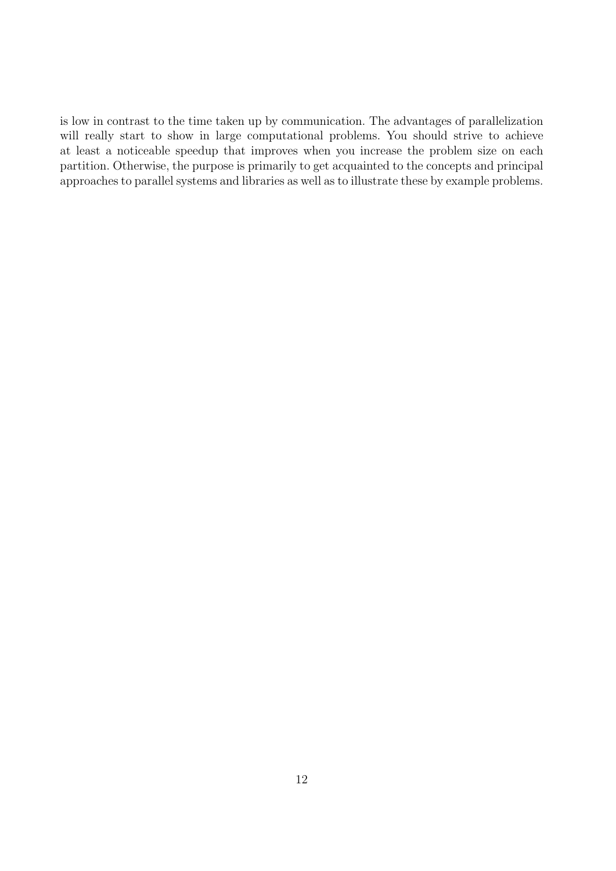is low in contrast to the time taken up by communication. The advantages of parallelization will really start to show in large computational problems. You should strive to achieve at least a noticeable speedup that improves when you increase the problem size on each partition. Otherwise, the purpose is primarily to get acquainted to the concepts and principal approaches to parallel systems and libraries as well as to illustrate these by example problems.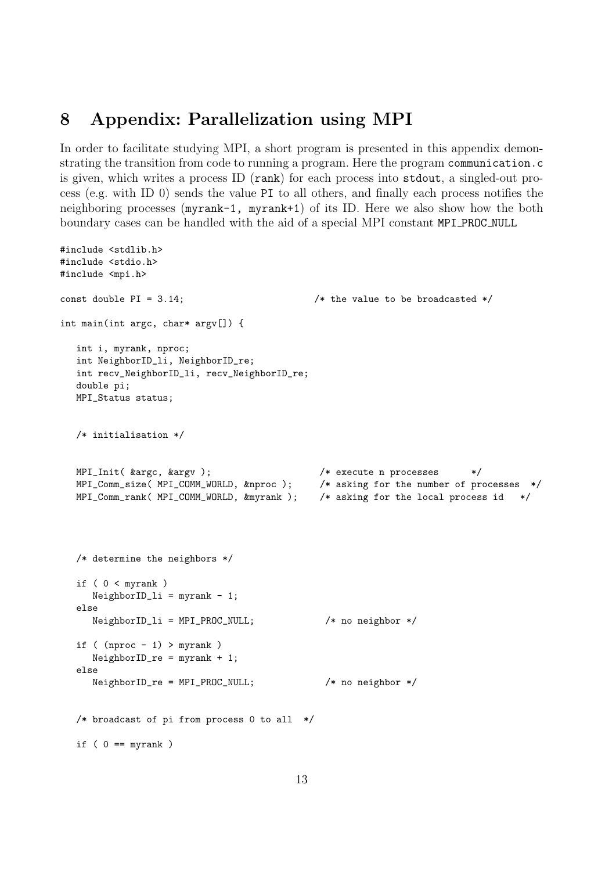#### **8 Appendix: Parallelization using MPI**

#include <stdlib.h>

In order to facilitate studying MPI, a short program is presented in this appendix demonstrating the transition from code to running a program. Here the program communication.c is given, which writes a process ID (rank) for each process into stdout, a singled-out process (e.g. with ID 0) sends the value PI to all others, and finally each process notifies the neighboring processes (myrank-1, myrank+1) of its ID. Here we also show how the both boundary cases can be handled with the aid of a special MPI constant MPI PROC NULL

```
#include <stdio.h>
#include <mpi.h>
const double PI = 3.14; \frac{1}{2} /* the value to be broadcasted */
int main(int argc, char* argv[]) {
  int i, myrank, nproc;
  int NeighborID_li, NeighborID_re;
  int recv_NeighborID_li, recv_NeighborID_re;
  double pi;
  MPI_Status status;
  /* initialisation */
  MPI_Init( &argc, &argv ); /* execute n processes */
  MPI_Comm_size( MPI_COMM_WORLD, &nproc ); /* asking for the number of processes */
  MPI_Comm_rank( MPI_COMM_WORLD, &myrank ); /* asking for the local process id */
  /* determine the neighbors */
  if ( 0 <b>myrank</b>)NeighbourID_1i = myrank - 1;else
     NeighborID_li = MPI_PROC_NULL; /* no neighbor */
  if ( (nproc - 1) > myrank )
     NeighborID_re = myrank + 1;
  else
     NeighborID_re = MPI_PROC_NULL; /* no neighbor */
  /* broadcast of pi from process 0 to all */
  if ( 0 == myrank )
```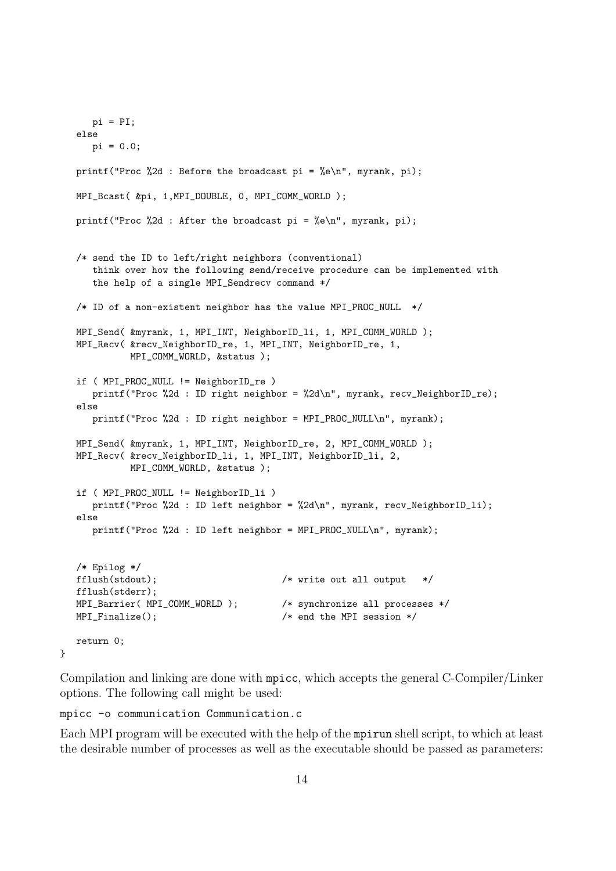```
pi = PI;
else
  pi = 0.0;
printf("Proc %2d : Before the broadcast pi = %e\n", myrank, pi);
MPI_Bcast( &pi, 1,MPI_DOUBLE, 0, MPI_COMM_WORLD );
printf("Proc %2d : After the broadcast pi = %e\n", myrank, pi);
/* send the ID to left/right neighbors (conventional)
   think over how the following send/receive procedure can be implemented with
   the help of a single MPI_Sendrecv command */
/* ID of a non-existent neighbor has the value MPI_PROC_NULL */
MPI_Send( &myrank, 1, MPI_INT, NeighborID_li, 1, MPI_COMM_WORLD );
MPI_Recv( &recv_NeighborID_re, 1, MPI_INT, NeighborID_re, 1,
         MPI_COMM_WORLD, &status );
if ( MPI_PROC_NULL != NeighborID_re )
   printf("Proc %2d : ID right neighbor = %2d\n", myrank, recv_NeighborID_re);
else
   printf("Proc %2d : ID right neighbor = MPI_PROC_NULL\n", myrank);
MPI_Send( &myrank, 1, MPI_INT, NeighborID_re, 2, MPI_COMM_WORLD );
MPI_Recv( &recv_NeighborID_li, 1, MPI_INT, NeighborID_li, 2,
         MPI_COMM_WORLD, &status );
if ( MPI_PROC_NULL != NeighborID_li )
   printf("Proc %2d : ID left neighbor = %2d\n", myrank, recv_NeighborID_li);
else
   printf("Proc %2d : ID left neighbor = MPI_PROC_NULL\n", myrank);
/* Epilog */
fflush(stdout); /* write out all output */
fflush(stderr);
MPI_Barrier( MPI_COMM_WORLD ); /* synchronize all processes */
MPI_Finalize(); \sqrt{*} end the MPI session */return 0;
```
Compilation and linking are done with mpicc, which accepts the general C-Compiler/Linker options. The following call might be used:

mpicc -o communication Communication.c

}

Each MPI program will be executed with the help of the mpirun shell script, to which at least the desirable number of processes as well as the executable should be passed as parameters: